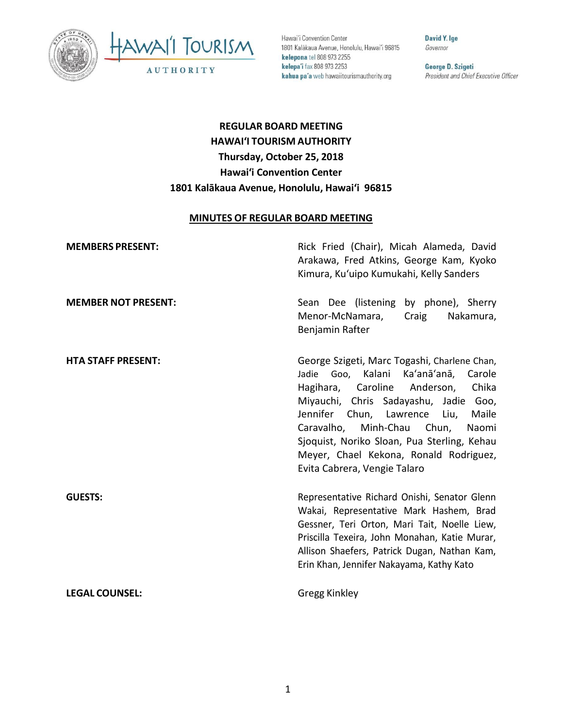



Hawai'i Convention Center 1801 Kalākaua Avenue, Honolulu, Hawai'i 96815 kelepona tel 808 973 2255 kelepa'i fax 808 973 2253 kahua pa'a web hawaiitourismauthority.org

**David Y. Ige** Governor

George D. Szigeti President and Chief Executive Officer

# **REGULAR BOARD MEETING HAWAI'I TOURISM AUTHORITY Thursday, October 25, 2018 Hawai'i Convention Center 1801 Kalākaua Avenue, Honolulu, Hawai'i 96815**

#### **MINUTES OF REGULAR BOARD MEETING**

| <b>MEMBERS PRESENT:</b>    | Rick Fried (Chair), Micah Alameda, David<br>Arakawa, Fred Atkins, George Kam, Kyoko<br>Kimura, Ku'uipo Kumukahi, Kelly Sanders                                                                                                                                                                                                                                                     |
|----------------------------|------------------------------------------------------------------------------------------------------------------------------------------------------------------------------------------------------------------------------------------------------------------------------------------------------------------------------------------------------------------------------------|
| <b>MEMBER NOT PRESENT:</b> | Sean Dee (listening by phone), Sherry<br>Menor-McNamara,<br>Craig<br>Nakamura,<br>Benjamin Rafter                                                                                                                                                                                                                                                                                  |
| <b>HTA STAFF PRESENT:</b>  | George Szigeti, Marc Togashi, Charlene Chan,<br>Jadie Goo, Kalani Ka'anā'anā, Carole<br>Hagihara, Caroline Anderson,<br>Chika<br>Miyauchi, Chris Sadayashu, Jadie Goo,<br>Jennifer Chun, Lawrence<br>Liu,<br>Maile<br>Caravalho, Minh-Chau Chun,<br>Naomi<br>Sjoquist, Noriko Sloan, Pua Sterling, Kehau<br>Meyer, Chael Kekona, Ronald Rodriguez,<br>Evita Cabrera, Vengie Talaro |
| <b>GUESTS:</b>             | Representative Richard Onishi, Senator Glenn<br>Wakai, Representative Mark Hashem, Brad<br>Gessner, Teri Orton, Mari Tait, Noelle Liew,<br>Priscilla Texeira, John Monahan, Katie Murar,<br>Allison Shaefers, Patrick Dugan, Nathan Kam,<br>Erin Khan, Jennifer Nakayama, Kathy Kato                                                                                               |
| <b>LEGAL COUNSEL:</b>      | Gregg Kinkley                                                                                                                                                                                                                                                                                                                                                                      |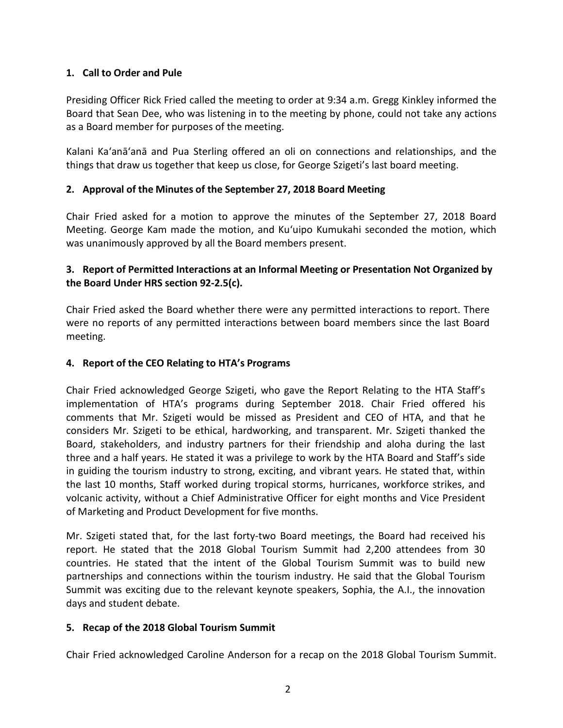#### **1. Call to Order and Pule**

Presiding Officer Rick Fried called the meeting to order at 9:34 a.m. Gregg Kinkley informed the Board that Sean Dee, who was listening in to the meeting by phone, could not take any actions as a Board member for purposes of the meeting.

Kalani Ka'anā'anā and Pua Sterling offered an oli on connections and relationships, and the things that draw us together that keep us close, for George Szigeti's last board meeting.

## **2. Approval of the Minutes of the September 27, 2018 Board Meeting**

Chair Fried asked for a motion to approve the minutes of the September 27, 2018 Board Meeting. George Kam made the motion, and Ku'uipo Kumukahi seconded the motion, which was unanimously approved by all the Board members present.

# **3. Report of Permitted Interactions at an Informal Meeting or Presentation Not Organized by the Board Under HRS section 92-2.5(c).**

Chair Fried asked the Board whether there were any permitted interactions to report. There were no reports of any permitted interactions between board members since the last Board meeting.

#### **4. Report of the CEO Relating to HTA's Programs**

Chair Fried acknowledged George Szigeti, who gave the Report Relating to the HTA Staff's implementation of HTA's programs during September 2018. Chair Fried offered his comments that Mr. Szigeti would be missed as President and CEO of HTA, and that he considers Mr. Szigeti to be ethical, hardworking, and transparent. Mr. Szigeti thanked the Board, stakeholders, and industry partners for their friendship and aloha during the last three and a half years. He stated it was a privilege to work by the HTA Board and Staff's side in guiding the tourism industry to strong, exciting, and vibrant years. He stated that, within the last 10 months, Staff worked during tropical storms, hurricanes, workforce strikes, and volcanic activity, without a Chief Administrative Officer for eight months and Vice President of Marketing and Product Development for five months.

Mr. Szigeti stated that, for the last forty-two Board meetings, the Board had received his report. He stated that the 2018 Global Tourism Summit had 2,200 attendees from 30 countries. He stated that the intent of the Global Tourism Summit was to build new partnerships and connections within the tourism industry. He said that the Global Tourism Summit was exciting due to the relevant keynote speakers, Sophia, the A.I., the innovation days and student debate.

#### **5. Recap of the 2018 Global Tourism Summit**

Chair Fried acknowledged Caroline Anderson for a recap on the 2018 Global Tourism Summit.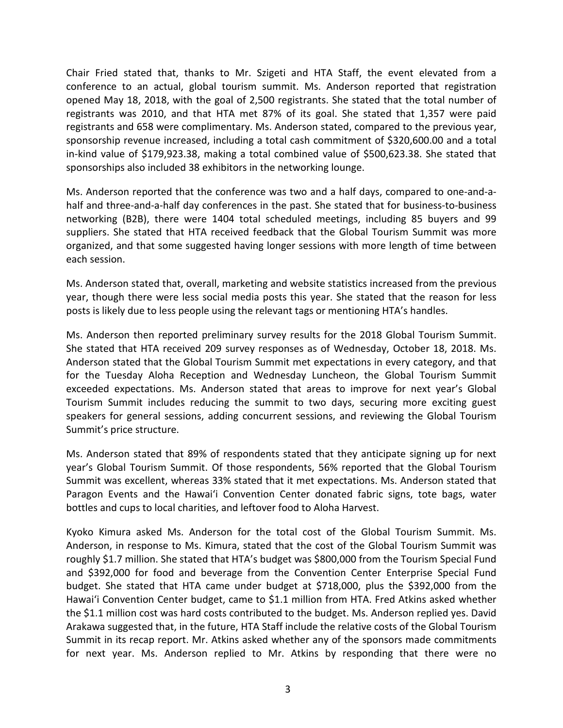Chair Fried stated that, thanks to Mr. Szigeti and HTA Staff, the event elevated from a conference to an actual, global tourism summit. Ms. Anderson reported that registration opened May 18, 2018, with the goal of 2,500 registrants. She stated that the total number of registrants was 2010, and that HTA met 87% of its goal. She stated that 1,357 were paid registrants and 658 were complimentary. Ms. Anderson stated, compared to the previous year, sponsorship revenue increased, including a total cash commitment of \$320,600.00 and a total in-kind value of \$179,923.38, making a total combined value of \$500,623.38. She stated that sponsorships also included 38 exhibitors in the networking lounge.

Ms. Anderson reported that the conference was two and a half days, compared to one-and-ahalf and three-and-a-half day conferences in the past. She stated that for business-to-business networking (B2B), there were 1404 total scheduled meetings, including 85 buyers and 99 suppliers. She stated that HTA received feedback that the Global Tourism Summit was more organized, and that some suggested having longer sessions with more length of time between each session.

Ms. Anderson stated that, overall, marketing and website statistics increased from the previous year, though there were less social media posts this year. She stated that the reason for less posts is likely due to less people using the relevant tags or mentioning HTA's handles.

Ms. Anderson then reported preliminary survey results for the 2018 Global Tourism Summit. She stated that HTA received 209 survey responses as of Wednesday, October 18, 2018. Ms. Anderson stated that the Global Tourism Summit met expectations in every category, and that for the Tuesday Aloha Reception and Wednesday Luncheon, the Global Tourism Summit exceeded expectations. Ms. Anderson stated that areas to improve for next year's Global Tourism Summit includes reducing the summit to two days, securing more exciting guest speakers for general sessions, adding concurrent sessions, and reviewing the Global Tourism Summit's price structure.

Ms. Anderson stated that 89% of respondents stated that they anticipate signing up for next year's Global Tourism Summit. Of those respondents, 56% reported that the Global Tourism Summit was excellent, whereas 33% stated that it met expectations. Ms. Anderson stated that Paragon Events and the Hawai'i Convention Center donated fabric signs, tote bags, water bottles and cups to local charities, and leftover food to Aloha Harvest.

Kyoko Kimura asked Ms. Anderson for the total cost of the Global Tourism Summit. Ms. Anderson, in response to Ms. Kimura, stated that the cost of the Global Tourism Summit was roughly \$1.7 million. She stated that HTA's budget was \$800,000 from the Tourism Special Fund and \$392,000 for food and beverage from the Convention Center Enterprise Special Fund budget. She stated that HTA came under budget at \$718,000, plus the \$392,000 from the Hawai'i Convention Center budget, came to \$1.1 million from HTA. Fred Atkins asked whether the \$1.1 million cost was hard costs contributed to the budget. Ms. Anderson replied yes. David Arakawa suggested that, in the future, HTA Staff include the relative costs of the Global Tourism Summit in its recap report. Mr. Atkins asked whether any of the sponsors made commitments for next year. Ms. Anderson replied to Mr. Atkins by responding that there were no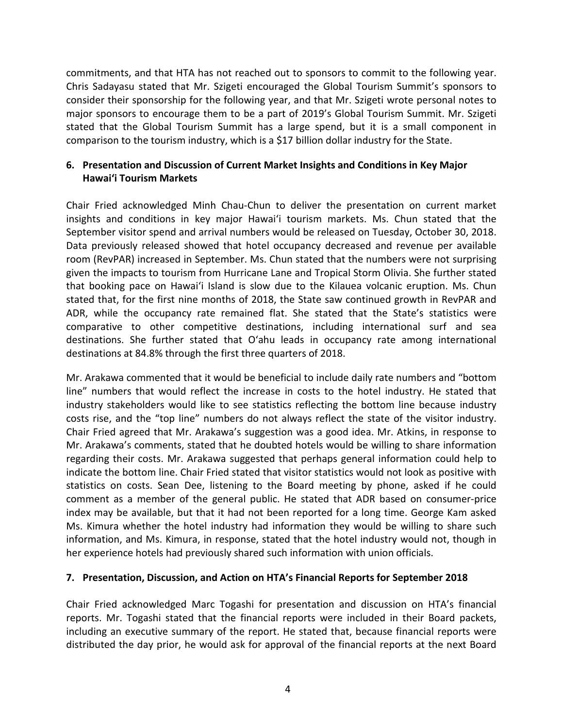commitments, and that HTA has not reached out to sponsors to commit to the following year. Chris Sadayasu stated that Mr. Szigeti encouraged the Global Tourism Summit's sponsors to consider their sponsorship for the following year, and that Mr. Szigeti wrote personal notes to major sponsors to encourage them to be a part of 2019's Global Tourism Summit. Mr. Szigeti stated that the Global Tourism Summit has a large spend, but it is a small component in comparison to the tourism industry, which is a \$17 billion dollar industry for the State.

## **6. Presentation and Discussion of Current Market Insights and Conditions in Key Major Hawai'i Tourism Markets**

Chair Fried acknowledged Minh Chau-Chun to deliver the presentation on current market insights and conditions in key major Hawai'i tourism markets. Ms. Chun stated that the September visitor spend and arrival numbers would be released on Tuesday, October 30, 2018. Data previously released showed that hotel occupancy decreased and revenue per available room (RevPAR) increased in September. Ms. Chun stated that the numbers were not surprising given the impacts to tourism from Hurricane Lane and Tropical Storm Olivia. She further stated that booking pace on Hawai'i Island is slow due to the Kilauea volcanic eruption. Ms. Chun stated that, for the first nine months of 2018, the State saw continued growth in RevPAR and ADR, while the occupancy rate remained flat. She stated that the State's statistics were comparative to other competitive destinations, including international surf and sea destinations. She further stated that O'ahu leads in occupancy rate among international destinations at 84.8% through the first three quarters of 2018.

Mr. Arakawa commented that it would be beneficial to include daily rate numbers and "bottom line" numbers that would reflect the increase in costs to the hotel industry. He stated that industry stakeholders would like to see statistics reflecting the bottom line because industry costs rise, and the "top line" numbers do not always reflect the state of the visitor industry. Chair Fried agreed that Mr. Arakawa's suggestion was a good idea. Mr. Atkins, in response to Mr. Arakawa's comments, stated that he doubted hotels would be willing to share information regarding their costs. Mr. Arakawa suggested that perhaps general information could help to indicate the bottom line. Chair Fried stated that visitor statistics would not look as positive with statistics on costs. Sean Dee, listening to the Board meeting by phone, asked if he could comment as a member of the general public. He stated that ADR based on consumer-price index may be available, but that it had not been reported for a long time. George Kam asked Ms. Kimura whether the hotel industry had information they would be willing to share such information, and Ms. Kimura, in response, stated that the hotel industry would not, though in her experience hotels had previously shared such information with union officials.

#### **7. Presentation, Discussion, and Action on HTA's Financial Reports for September 2018**

Chair Fried acknowledged Marc Togashi for presentation and discussion on HTA's financial reports. Mr. Togashi stated that the financial reports were included in their Board packets, including an executive summary of the report. He stated that, because financial reports were distributed the day prior, he would ask for approval of the financial reports at the next Board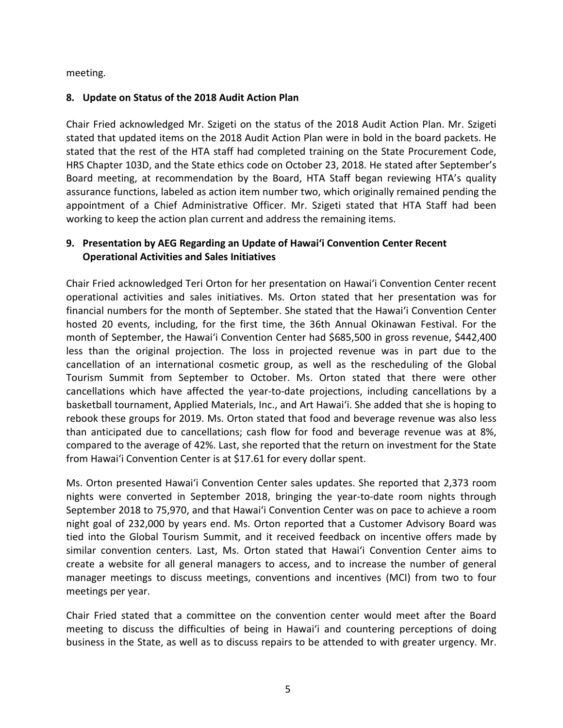meeting.

#### **8. Update on Status of the 2018 Audit Action Plan**

Chair Fried acknowledged Mr. Szigeti on the status of the 2018 Audit Action Plan. Mr. Szigeti stated that updated items on the 2018 Audit Action Plan were in bold in the board packets. He stated that the rest of the HTA staff had completed training on the State Procurement Code, HRS Chapter 103D, and the State ethics code on October 23, 2018. He stated after September's Board meeting, at recommendation by the Board, HTA Staff began reviewing HTA's quality assurance functions, labeled as action item number two, which originally remained pending the appointment of a Chief Administrative Officer. Mr. Szigeti stated that HTA Staff had been working to keep the action plan current and address the remaining items.

#### **9. Presentation by AEG Regarding an Update of Hawai'i Convention Center Recent Operational Activities and Sales Initiatives**

Chair Fried acknowledged Teri Orton for her presentation on Hawai'i Convention Center recent operational activities and sales initiatives. Ms. Orton stated that her presentation was for financial numbers for the month of September. She stated that the Hawai'i Convention Center hosted 20 events, including, for the first time, the 36th Annual Okinawan Festival. For the month of September, the Hawai'i Convention Center had \$685,500 in gross revenue, \$442,400 less than the original projection. The loss in projected revenue was in part due to the cancellation of an international cosmetic group, as well as the rescheduling of the Global Tourism Summit from September to October. Ms. Orton stated that there were other cancellations which have affected the year-to-date projections, including cancellations by a basketball tournament, Applied Materials, Inc., and Art Hawai'i. She added that she is hoping to rebook these groups for 2019. Ms. Orton stated that food and beverage revenue was also less than anticipated due to cancellations; cash flow for food and beverage revenue was at 8%, compared to the average of 42%. Last, she reported that the return on investment for the State from Hawai'i Convention Center is at \$17.61 for every dollar spent.

Ms. Orton presented Hawai'i Convention Center sales updates. She reported that 2,373 room nights were converted in September 2018, bringing the year-to-date room nights through September 2018 to 75,970, and that Hawai'i Convention Center was on pace to achieve a room night goal of 232,000 by years end. Ms. Orton reported that a Customer Advisory Board was tied into the Global Tourism Summit, and it received feedback on incentive offers made by similar convention centers. Last, Ms. Orton stated that Hawai'i Convention Center aims to create a website for all general managers to access, and to increase the number of general manager meetings to discuss meetings, conventions and incentives (MCI) from two to four meetings per year.

Chair Fried stated that a committee on the convention center would meet after the Board meeting to discuss the difficulties of being in Hawai'i and countering perceptions of doing business in the State, as well as to discuss repairs to be attended to with greater urgency. Mr.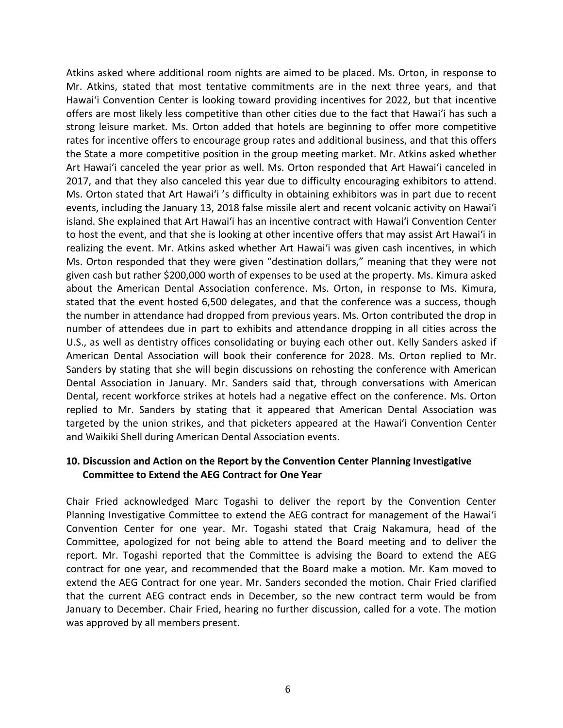Atkins asked where additional room nights are aimed to be placed. Ms. Orton, in response to Mr. Atkins, stated that most tentative commitments are in the next three years, and that Hawai'i Convention Center is looking toward providing incentives for 2022, but that incentive offers are most likely less competitive than other cities due to the fact that Hawai'i has such a strong leisure market. Ms. Orton added that hotels are beginning to offer more competitive rates for incentive offers to encourage group rates and additional business, and that this offers the State a more competitive position in the group meeting market. Mr. Atkins asked whether Art Hawai'i canceled the year prior as well. Ms. Orton responded that Art Hawai'i canceled in 2017, and that they also canceled this year due to difficulty encouraging exhibitors to attend. Ms. Orton stated that Art Hawai'i 's difficulty in obtaining exhibitors was in part due to recent events, including the January 13, 2018 false missile alert and recent volcanic activity on Hawai'i island. She explained that Art Hawai'i has an incentive contract with Hawai'i Convention Center to host the event, and that she is looking at other incentive offers that may assist Art Hawai'i in realizing the event. Mr. Atkins asked whether Art Hawai'i was given cash incentives, in which Ms. Orton responded that they were given "destination dollars," meaning that they were not given cash but rather \$200,000 worth of expenses to be used at the property. Ms. Kimura asked about the American Dental Association conference. Ms. Orton, in response to Ms. Kimura, stated that the event hosted 6,500 delegates, and that the conference was a success, though the number in attendance had dropped from previous years. Ms. Orton contributed the drop in number of attendees due in part to exhibits and attendance dropping in all cities across the U.S., as well as dentistry offices consolidating or buying each other out. Kelly Sanders asked if American Dental Association will book their conference for 2028. Ms. Orton replied to Mr. Sanders by stating that she will begin discussions on rehosting the conference with American Dental Association in January. Mr. Sanders said that, through conversations with American Dental, recent workforce strikes at hotels had a negative effect on the conference. Ms. Orton replied to Mr. Sanders by stating that it appeared that American Dental Association was targeted by the union strikes, and that picketers appeared at the Hawai'i Convention Center and Waikiki Shell during American Dental Association events.

#### **10. Discussion and Action on the Report by the Convention Center Planning Investigative Committee to Extend the AEG Contract for One Year**

Chair Fried acknowledged Marc Togashi to deliver the report by the Convention Center Planning Investigative Committee to extend the AEG contract for management of the Hawai'i Convention Center for one year. Mr. Togashi stated that Craig Nakamura, head of the Committee, apologized for not being able to attend the Board meeting and to deliver the report. Mr. Togashi reported that the Committee is advising the Board to extend the AEG contract for one year, and recommended that the Board make a motion. Mr. Kam moved to extend the AEG Contract for one year. Mr. Sanders seconded the motion. Chair Fried clarified that the current AEG contract ends in December, so the new contract term would be from January to December. Chair Fried, hearing no further discussion, called for a vote. The motion was approved by all members present.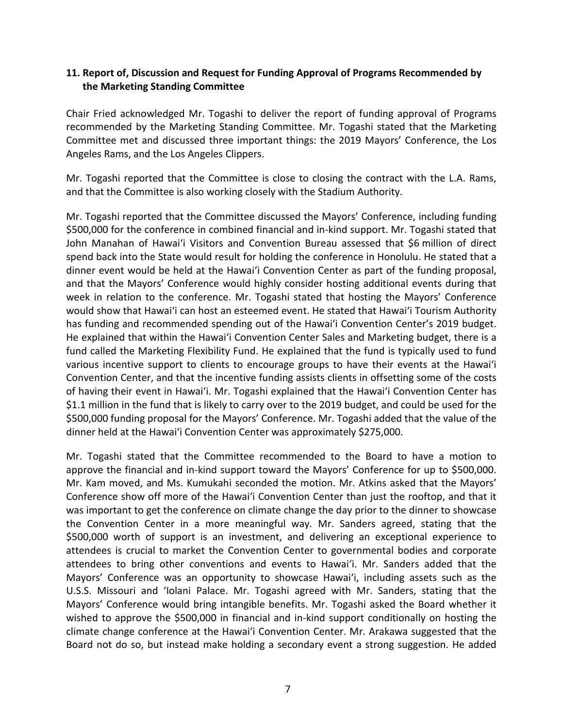#### **11. Report of, Discussion and Request for Funding Approval of Programs Recommended by the Marketing Standing Committee**

Chair Fried acknowledged Mr. Togashi to deliver the report of funding approval of Programs recommended by the Marketing Standing Committee. Mr. Togashi stated that the Marketing Committee met and discussed three important things: the 2019 Mayors' Conference, the Los Angeles Rams, and the Los Angeles Clippers.

Mr. Togashi reported that the Committee is close to closing the contract with the L.A. Rams, and that the Committee is also working closely with the Stadium Authority.

Mr. Togashi reported that the Committee discussed the Mayors' Conference, including funding \$500,000 for the conference in combined financial and in-kind support. Mr. Togashi stated that John Manahan of Hawai'i Visitors and Convention Bureau assessed that \$6 million of direct spend back into the State would result for holding the conference in Honolulu. He stated that a dinner event would be held at the Hawai'i Convention Center as part of the funding proposal, and that the Mayors' Conference would highly consider hosting additional events during that week in relation to the conference. Mr. Togashi stated that hosting the Mayors' Conference would show that Hawai'i can host an esteemed event. He stated that Hawai'i Tourism Authority has funding and recommended spending out of the Hawai'i Convention Center's 2019 budget. He explained that within the Hawai'i Convention Center Sales and Marketing budget, there is a fund called the Marketing Flexibility Fund. He explained that the fund is typically used to fund various incentive support to clients to encourage groups to have their events at the Hawai'i Convention Center, and that the incentive funding assists clients in offsetting some of the costs of having their event in Hawai'i. Mr. Togashi explained that the Hawai'i Convention Center has \$1.1 million in the fund that is likely to carry over to the 2019 budget, and could be used for the \$500,000 funding proposal for the Mayors' Conference. Mr. Togashi added that the value of the dinner held at the Hawai'i Convention Center was approximately \$275,000.

Mr. Togashi stated that the Committee recommended to the Board to have a motion to approve the financial and in-kind support toward the Mayors' Conference for up to \$500,000. Mr. Kam moved, and Ms. Kumukahi seconded the motion. Mr. Atkins asked that the Mayors' Conference show off more of the Hawai'i Convention Center than just the rooftop, and that it was important to get the conference on climate change the day prior to the dinner to showcase the Convention Center in a more meaningful way. Mr. Sanders agreed, stating that the \$500,000 worth of support is an investment, and delivering an exceptional experience to attendees is crucial to market the Convention Center to governmental bodies and corporate attendees to bring other conventions and events to Hawai'i. Mr. Sanders added that the Mayors' Conference was an opportunity to showcase Hawai'i, including assets such as the U.S.S. Missouri and 'Iolani Palace. Mr. Togashi agreed with Mr. Sanders, stating that the Mayors' Conference would bring intangible benefits. Mr. Togashi asked the Board whether it wished to approve the \$500,000 in financial and in-kind support conditionally on hosting the climate change conference at the Hawai'i Convention Center. Mr. Arakawa suggested that the Board not do so, but instead make holding a secondary event a strong suggestion. He added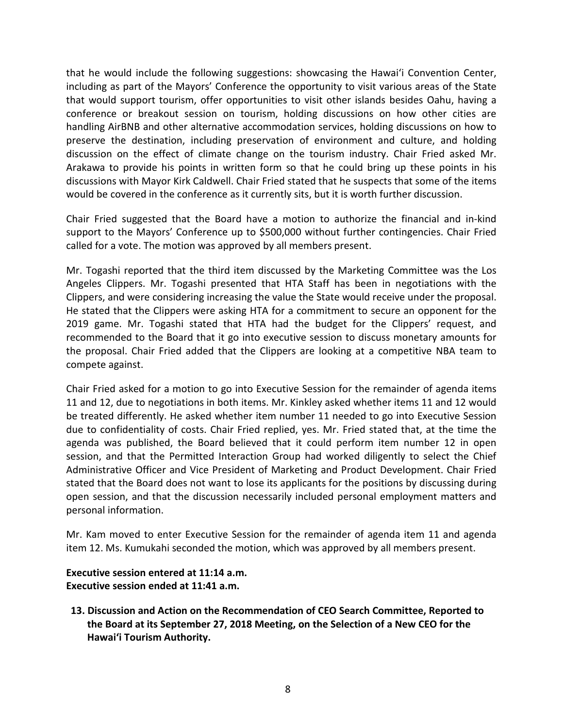that he would include the following suggestions: showcasing the Hawai'i Convention Center, including as part of the Mayors' Conference the opportunity to visit various areas of the State that would support tourism, offer opportunities to visit other islands besides Oahu, having a conference or breakout session on tourism, holding discussions on how other cities are handling AirBNB and other alternative accommodation services, holding discussions on how to preserve the destination, including preservation of environment and culture, and holding discussion on the effect of climate change on the tourism industry. Chair Fried asked Mr. Arakawa to provide his points in written form so that he could bring up these points in his discussions with Mayor Kirk Caldwell. Chair Fried stated that he suspects that some of the items would be covered in the conference as it currently sits, but it is worth further discussion.

Chair Fried suggested that the Board have a motion to authorize the financial and in-kind support to the Mayors' Conference up to \$500,000 without further contingencies. Chair Fried called for a vote. The motion was approved by all members present.

Mr. Togashi reported that the third item discussed by the Marketing Committee was the Los Angeles Clippers. Mr. Togashi presented that HTA Staff has been in negotiations with the Clippers, and were considering increasing the value the State would receive under the proposal. He stated that the Clippers were asking HTA for a commitment to secure an opponent for the 2019 game. Mr. Togashi stated that HTA had the budget for the Clippers' request, and recommended to the Board that it go into executive session to discuss monetary amounts for the proposal. Chair Fried added that the Clippers are looking at a competitive NBA team to compete against.

Chair Fried asked for a motion to go into Executive Session for the remainder of agenda items 11 and 12, due to negotiations in both items. Mr. Kinkley asked whether items 11 and 12 would be treated differently. He asked whether item number 11 needed to go into Executive Session due to confidentiality of costs. Chair Fried replied, yes. Mr. Fried stated that, at the time the agenda was published, the Board believed that it could perform item number 12 in open session, and that the Permitted Interaction Group had worked diligently to select the Chief Administrative Officer and Vice President of Marketing and Product Development. Chair Fried stated that the Board does not want to lose its applicants for the positions by discussing during open session, and that the discussion necessarily included personal employment matters and personal information.

Mr. Kam moved to enter Executive Session for the remainder of agenda item 11 and agenda item 12. Ms. Kumukahi seconded the motion, which was approved by all members present.

**Executive session entered at 11:14 a.m. Executive session ended at 11:41 a.m.**

**13. Discussion and Action on the Recommendation of CEO Search Committee, Reported to the Board at its September 27, 2018 Meeting, on the Selection of a New CEO for the Hawai'i Tourism Authority.**